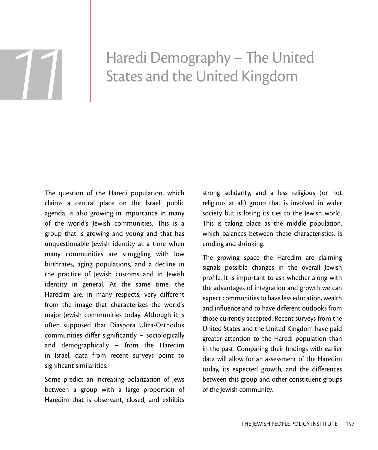# Haredi Demography - The United Haredi Demography – The Unit<br>States and the United Kingdom

The question of the Haredi population, which claims a central place on the Israeli public agenda, is also growing in importance in many of the world's Jewish communities. This is a group that is growing and young and that has unquestionable Jewish identity at a time when many communities are struggling with low birthrates, aging populations, and a decline in the practice of Jewish customs and in Jewish identity in general. At the same time, the Haredim are, in many respects, very different from the image that characterizes the world's major Jewish communities today. Although it is often supposed that Diaspora Ultra-Orthodox communities differ significantly  $-$  sociologically and demographically – from the Haredim in Israel, data from recent surveys point to significant similarities.

Some predict an increasing polarization of Jews between a group with a large proportion of Haredim that is observant, closed, and exhibits

strong solidarity, and a less religious (or not religious at all) group that is involved in wider society but is losing its ties to the Jewish world. This is taking place as the middle population, which balances between these characteristics, is eroding and shrinking.

The growing space the Haredim are claiming signals possible changes in the overall Jewish profile. It is important to ask whether along with the advantages of integration and growth we can expect communities to have less education, wealth and influence and to have different outlooks from those currently accepted. Recent surveys from the United States and the United Kingdom have paid greater attention to the Haredi population than in the past. Comparing their findings with earlier data will allow for an assessment of the Haredim today, its expected growth, and the differences between this group and other constituent groups of the Jewish community.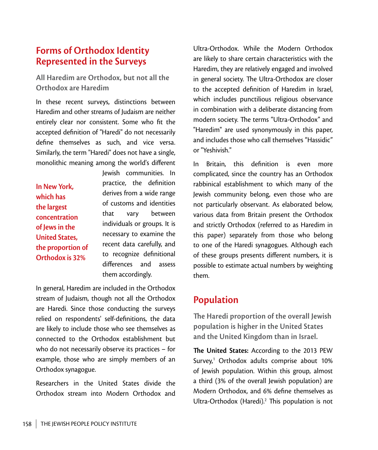# **Forms of Orthodox Identity Represented in the Surveys**

**All Haredim are Orthodox, but not all the Orthodox are Haredim**

In these recent surveys, distinctions between Haredim and other streams of Judaism are neither entirely clear nor consistent. Some who fit the accepted definition of "Haredi" do not necessarily define themselves as such, and vice versa. Similarly, the term "Haredi" does not have a single, monolithic meaning among the world's different

**In New York, which has the largest concentration of Jews in the United States, the proportion of Orthodox is 32%**

Jewish communities. In practice, the definition derives from a wide range of customs and identities that vary between individuals or groups. It is necessary to examine the recent data carefully, and to recognize definitional differences and assess them accordingly.

In general, Haredim are included in the Orthodox stream of Judaism, though not all the Orthodox are Haredi. Since those conducting the surveys relied on respondents' self-definitions, the data are likely to include those who see themselves as connected to the Orthodox establishment but who do not necessarily observe its practices – for example, those who are simply members of an Orthodox synagogue.

Researchers in the United States divide the Orthodox stream into Modern Orthodox and Ultra-Orthodox. While the Modern Orthodox are likely to share certain characteristics with the Haredim, they are relatively engaged and involved in general society. The Ultra-Orthodox are closer to the accepted definition of Haredim in Israel, which includes punctilious religious observance in combination with a deliberate distancing from modern society. The terms "Ultra-Orthodox" and "Haredim" are used synonymously in this paper, and includes those who call themselves "Hassidic" or "Yeshivish."

In Britain, this definition is even more complicated, since the country has an Orthodox rabbinical establishment to which many of the Jewish community belong, even those who are not particularly observant. As elaborated below, various data from Britain present the Orthodox and strictly Orthodox (referred to as Haredim in this paper) separately from those who belong to one of the Haredi synagogues. Although each of these groups presents different numbers, it is possible to estimate actual numbers by weighting them.

# **Population**

**!e Haredi proportion of the overall Jewish population is higher in the United States and the United Kingdom than in Israel.** 

The United States: According to the 2013 PEW Survey,<sup>1</sup> Orthodox adults comprise about 10% of Jewish population. Within this group, almost a third (3% of the overall Jewish population) are Modern Orthodox, and 6% define themselves as Ultra-Orthodox (Haredi).<sup>2</sup> This population is not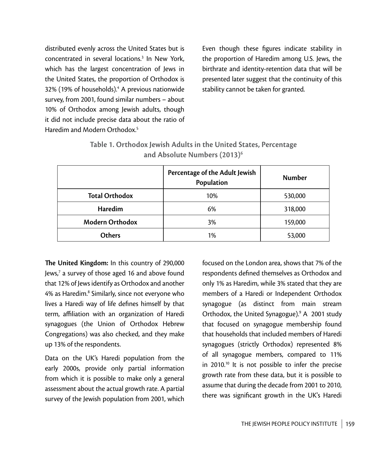distributed evenly across the United States but is concentrated in several locations.3 In New York, which has the largest concentration of Jews in the United States, the proportion of Orthodox is 32% (19% of households).<sup>4</sup> A previous nationwide survey, from 2001, found similar numbers – about 10% of Orthodox among Jewish adults, though it did not include precise data about the ratio of Haredim and Modern Orthodox.<sup>5</sup>

Even though these figures indicate stability in the proportion of Haredim among U.S. Jews, the birthrate and identity-retention data that will be presented later suggest that the continuity of this stability cannot be taken for granted.

|                        | Percentage of the Adult Jewish<br>Population | <b>Number</b> |
|------------------------|----------------------------------------------|---------------|
| <b>Total Orthodox</b>  | 10%                                          | 530,000       |
| Haredim                | 6%                                           | 318,000       |
| <b>Modern Orthodox</b> | 3%                                           | 159,000       |
| <b>Others</b>          | 1%                                           | 53,000        |

| Table 1. Orthodox Jewish Adults in the United States, Percentage |
|------------------------------------------------------------------|
| and Absolute Numbers (2013) <sup>6</sup>                         |

The United Kingdom: In this country of 290,000 Jews,<sup>7</sup> a survey of those aged 16 and above found that 12% of Jews identify as Orthodox and another 4% as Haredim.<sup>8</sup> Similarly, since not everyone who lives a Haredi way of life defines himself by that term, affiliation with an organization of Haredi synagogues (the Union of Orthodox Hebrew Congregations) was also checked, and they make up 13% of the respondents.

Data on the UK's Haredi population from the early 2000s, provide only partial information from which it is possible to make only a general assessment about the actual growth rate. A partial survey of the Jewish population from 2001, which

focused on the London area, shows that 7% of the respondents defined themselves as Orthodox and only 1% as Haredim, while 3% stated that they are members of a Haredi or Independent Orthodox synagogue (as distinct from main stream Orthodox, the United Synagogue).9 A 2001 study that focused on synagogue membership found that households that included members of Haredi synagogues (strictly Orthodox) represented 8% of all synagogue members, compared to 11% in 2010.<sup>10</sup> It is not possible to infer the precise growth rate from these data, but it is possible to assume that during the decade from 2001 to 2010, there was significant growth in the UK's Haredi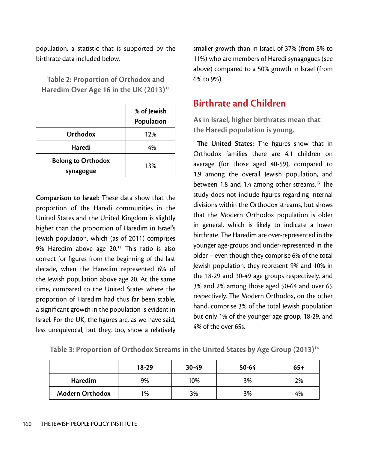population, a statistic that is supported by the birthrate data included below.

|                                        | % of Jewish<br>Population |
|----------------------------------------|---------------------------|
| Orthodox                               | 12%                       |
| Haredi                                 | 4%                        |
| <b>Belong to Orthodox</b><br>synagogue | 13%                       |

**Table 2: Proportion of Orthodox and**  Haredim Over Age 16 in the UK (2013)<sup>11</sup>

**Comparison to Israel:** These data show that the proportion of the Haredi communities in the United States and the United Kingdom is slightly higher than the proportion of Haredim in Israel's Jewish population, which (as of 2011) comprises 9% Haredim above age  $20.^{12}$  This ratio is also correct for figures from the beginning of the last decade, when the Haredim represented 6% of the Jewish population above age 20. At the same time, compared to the United States where the proportion of Haredim had thus far been stable, a significant growth in the population is evident in Israel. For the UK, the figures are, as we have said, less unequivocal, but they, too, show a relatively smaller growth than in Israel, of 37% (from 8% to 11%) who are members of Haredi synagogues (see above) compared to a 50% growth in Israel (from 6% to 9%).

# **Birthrate and Children**

**As in Israel, higher birthrates mean that the Haredi population is young.**

**The United States:** The figures show that in Orthodox families there are 4.1 children on average (for those aged 40-59), compared to 1.9 among the overall Jewish population, and between 1.8 and 1.4 among other streams.<sup>13</sup> The study does not include figures regarding internal divisions within the Orthodox streams, but shows that the Modern Orthodox population is older in general, which is likely to indicate a lower birthrate. The Haredim are over-represented in the younger age-groups and under-represented in the older – even though they comprise 6% of the total Jewish population, they represent 9% and 10% in the 18-29 and 30-49 age groups respectively, and 3% and 2% among those aged 50-64 and over 65 respectively. The Modern Orthodox, on the other hand, comprise 3% of the total Jewish population but only 1% of the younger age group, 18-29, and 4% of the over 65s.

|                        | $18-29$ | 30-49 | 50-64 | $65+$ |
|------------------------|---------|-------|-------|-------|
| <b>Haredim</b>         | 9%      | 10%   | 3%    | 2%    |
| <b>Modern Orthodox</b> | 1%      | 3%    | 3%    | 4%    |

|  |  | Table 3: Proportion of Orthodox Streams in the United States by Age Group (2013) <sup>14</sup> |  |  |
|--|--|------------------------------------------------------------------------------------------------|--|--|
|--|--|------------------------------------------------------------------------------------------------|--|--|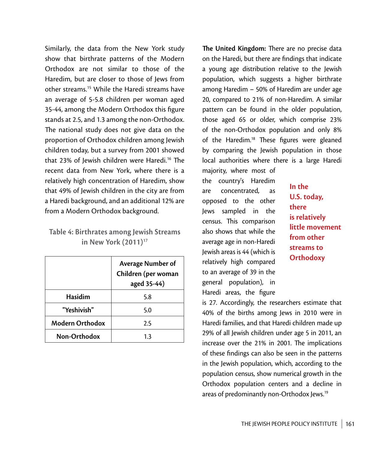Similarly, the data from the New York study show that birthrate patterns of the Modern Orthodox are not similar to those of the Haredim, but are closer to those of Jews from other streams.15 While the Haredi streams have an average of 5-5.8 children per woman aged 35-44, among the Modern Orthodox this figure stands at 2.5, and 1.3 among the non-Orthodox. The national study does not give data on the proportion of Orthodox children among Jewish children today, but a survey from 2001 showed that 23% of Jewish children were Haredi.<sup>16</sup> The recent data from New York, where there is a relatively high concentration of Haredim, show that 49% of Jewish children in the city are from a Haredi background, and an additional 12% are from a Modern Orthodox background.

### **Table 4: Birthrates among Jewish Streams in New York (2011)<sup>17</sup>**

|                        | <b>Average Number of</b><br>Children (per woman<br>aged 35-44) |
|------------------------|----------------------------------------------------------------|
| Hasidim                | 5.8                                                            |
| "Yeshivish"            | 5.0                                                            |
| <b>Modern Orthodox</b> | 2.5                                                            |
| Non-Orthodox           | 13                                                             |

**The United Kingdom:** There are no precise data on the Haredi, but there are findings that indicate a young age distribution relative to the Jewish population, which suggests a higher birthrate among Haredim – 50% of Haredim are under age 20, compared to 21% of non-Haredim. A similar pattern can be found in the older population, those aged 65 or older, which comprise 23% of the non-Orthodox population and only 8% of the Haredim.<sup>18</sup> These figures were gleaned by comparing the Jewish population in those local authorities where there is a large Haredi

majority, where most of the country's Haredim are concentrated, as opposed to the other Jews sampled in the census. This comparison also shows that while the average age in non-Haredi Jewish areas is 44 (which is relatively high compared to an average of 39 in the general population), in Haredi areas, the figure

**In the U.S. today, there is relatively little movement from other streams to Orthodoxy**

is 27. Accordingly, the researchers estimate that 40% of the births among Jews in 2010 were in Haredi families, and that Haredi children made up 29% of all Jewish children under age 5 in 2011, an increase over the 21% in 2001. The implications of these findings can also be seen in the patterns in the Jewish population, which, according to the population census, show numerical growth in the Orthodox population centers and a decline in areas of predominantly non-Orthodox Jews.19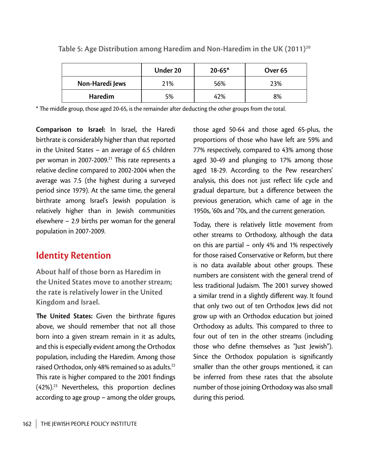|                 | Under 20 | $20 - 65*$ | Over <sub>65</sub> |
|-----------------|----------|------------|--------------------|
| Non-Haredi Jews | 21%      | 56%        | 23%                |
| <b>Haredim</b>  | 5%       | 42%        | 8%                 |

Table 5: Age Distribution among Haredim and Non-Haredim in the UK (2011)<sup>20</sup>

\* The middle group, those aged 20-65, is the remainder after deducting the other groups from the total.

**Comparison to Israel:** In Israel, the Haredi birthrate is considerably higher than that reported in the United States – an average of 6.5 children per woman in 2007-2009.<sup>21</sup> This rate represents a relative decline compared to 2002-2004 when the average was 7.5 (the highest during a surveyed period since 1979). At the same time, the general birthrate among Israel's Jewish population is relatively higher than in Jewish communities elsewhere – 2.9 births per woman for the general population in 2007-2009.

# **Identity Retention**

**About half of those born as Haredim in the United States move to another stream; the rate is relatively lower in the United Kingdom and Israel.**

**The United States:** Given the birthrate figures above, we should remember that not all those born into a given stream remain in it as adults, and this is especially evident among the Orthodox population, including the Haredim. Among those raised Orthodox, only 48% remained so as adults.<sup>22</sup> This rate is higher compared to the 2001 findings  $(42\%)$ <sup>23</sup> Nevertheless, this proportion declines according to age group – among the older groups,

those aged 50-64 and those aged 65-plus, the proportions of those who have left are 59% and 77% respectively, compared to 43% among those aged 30-49 and plunging to 17% among those aged 18-29. According to the Pew researchers' analysis, this does not just reflect life cycle and gradual departure, but a difference between the previous generation, which came of age in the 1950s, '60s and '70s, and the current generation.

Today, there is relatively little movement from other streams to Orthodoxy, although the data on this are partial – only 4% and 1% respectively for those raised Conservative or Reform, but there is no data available about other groups. These numbers are consistent with the general trend of less traditional Judaism. The 2001 survey showed a similar trend in a slightly different way. It found that only two out of ten Orthodox Jews did not grow up with an Orthodox education but joined Orthodoxy as adults. This compared to three to four out of ten in the other streams (including those who define themselves as "Just Jewish"). Since the Orthodox population is significantly smaller than the other groups mentioned, it can be inferred from these rates that the absolute number of those joining Orthodoxy was also small during this period.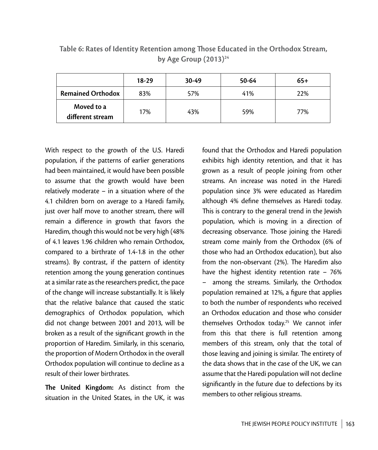|                                | $18-29$ | $30-49$ | 50-64 | $65+$ |
|--------------------------------|---------|---------|-------|-------|
| <b>Remained Orthodox</b>       | 83%     | 57%     | 41%   | 22%   |
| Moved to a<br>different stream | 17%     | 43%     | 59%   | 77%   |

Table 6: Rates of Identity Retention among Those Educated in the Orthodox Stream, **by Age Group (2013)24**

With respect to the growth of the U.S. Haredi population, if the patterns of earlier generations had been maintained, it would have been possible to assume that the growth would have been relatively moderate – in a situation where of the 4.1 children born on average to a Haredi family, just over half move to another stream, there will remain a difference in growth that favors the Haredim, though this would not be very high (48% of 4.1 leaves 1.96 children who remain Orthodox, compared to a birthrate of 1.4-1.8 in the other streams). By contrast, if the pattern of identity retention among the young generation continues at a similar rate as the researchers predict, the pace of the change will increase substantially. It is likely that the relative balance that caused the static demographics of Orthodox population, which did not change between 2001 and 2013, will be broken as a result of the significant growth in the proportion of Haredim. Similarly, in this scenario, the proportion of Modern Orthodox in the overall Orthodox population will continue to decline as a result of their lower birthrates.

**The United Kingdom:** As distinct from the situation in the United States, in the UK, it was found that the Orthodox and Haredi population exhibits high identity retention, and that it has grown as a result of people joining from other streams. An increase was noted in the Haredi population since 3% were educated as Haredim although 4% define themselves as Haredi today. This is contrary to the general trend in the Jewish population, which is moving in a direction of decreasing observance. Those joining the Haredi stream come mainly from the Orthodox (6% of those who had an Orthodox education), but also from the non-observant (2%). The Haredim also have the highest identity retention rate – 76% – among the streams. Similarly, the Orthodox population remained at 12%, a figure that applies to both the number of respondents who received an Orthodox education and those who consider themselves Orthodox today.25 We cannot infer from this that there is full retention among members of this stream, only that the total of those leaving and joining is similar. The entirety of the data shows that in the case of the UK, we can assume that the Haredi population will not decline significantly in the future due to defections by its members to other religious streams.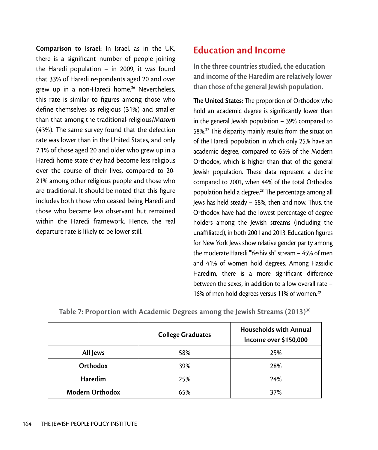**Comparison to Israel:** In Israel, as in the UK, there is a significant number of people joining the Haredi population – in 2009, it was found that 33% of Haredi respondents aged 20 and over grew up in a non-Haredi home.<sup>26</sup> Nevertheless, this rate is similar to figures among those who define themselves as religious (31%) and smaller than that among the traditional-religious/*Masorti*  $(43%)$ . The same survey found that the defection rate was lower than in the United States, and only 7.1% of those aged 20 and older who grew up in a Haredi home state they had become less religious over the course of their lives, compared to 20- 21% among other religious people and those who are traditional. It should be noted that this figure includes both those who ceased being Haredi and those who became less observant but remained within the Haredi framework. Hence, the real departure rate is likely to be lower still.

# **Education and Income**

**In the three countries studied, the education and income of the Haredim are relatively lower than those of the general Jewish population.**

**The United States:** The proportion of Orthodox who hold an academic degree is significantly lower than in the general Jewish population – 39% compared to 58%.<sup>27</sup> This disparity mainly results from the situation of the Haredi population in which only 25% have an academic degree, compared to 65% of the Modern Orthodox, which is higher than that of the general Jewish population. These data represent a decline compared to 2001, when 44% of the total Orthodox population held a degree.<sup>28</sup> The percentage among all Jews has held steady  $-58%$ , then and now. Thus, the Orthodox have had the lowest percentage of degree holders among the Jewish streams (including the unaffiliated), in both 2001 and 2013. Education figures for New York Jews show relative gender parity among the moderate Haredi "Yeshivish" stream – 45% of men and 41% of women hold degrees. Among Hassidic Haredim, there is a more significant difference between the sexes, in addition to a low overall rate – 16% of men hold degrees versus 11% of women.<sup>29</sup>

|                        | <b>College Graduates</b> | <b>Households with Annual</b><br>Income over \$150,000 |
|------------------------|--------------------------|--------------------------------------------------------|
| All Jews               | 58%                      | 25%                                                    |
| Orthodox               | 39%                      | 28%                                                    |
| Haredim                | 25%                      | 24%                                                    |
| <b>Modern Orthodox</b> | 65%                      | 37%                                                    |

**Table 7: Proportion with Academic Degrees among the Jewish Streams (2013)30**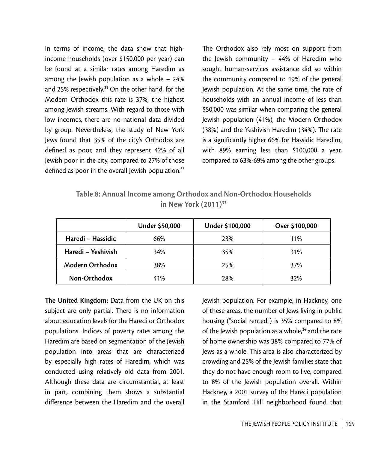In terms of income, the data show that highincome households (over \$150,000 per year) can be found at a similar rates among Haredim as among the Jewish population as a whole – 24% and 25% respectively.<sup>31</sup> On the other hand, for the Modern Orthodox this rate is 37%, the highest among Jewish streams. With regard to those with low incomes, there are no national data divided by group. Nevertheless, the study of New York Jews found that 35% of the city's Orthodox are defined as poor, and they represent 42% of all Jewish poor in the city, compared to 27% of those defined as poor in the overall Jewish population.<sup>32</sup>

The Orthodox also rely most on support from the Jewish community – 44% of Haredim who sought human-services assistance did so within the community compared to 19% of the general Jewish population. At the same time, the rate of households with an annual income of less than \$50,000 was similar when comparing the general Jewish population (41%), the Modern Orthodox  $(38%)$  and the Yeshivish Haredim  $(34%)$ . The rate is a significantly higher 66% for Hassidic Haredim, with 89% earning less than \$100,000 a year, compared to 63%-69% among the other groups.

| Table 8: Annual Income among Orthodox and Non-Orthodox Households |
|-------------------------------------------------------------------|
| in New York $(2011)^{33}$                                         |

|                        | <b>Under \$50,000</b> | Under \$100,000 | Over \$100,000 |
|------------------------|-----------------------|-----------------|----------------|
| Haredi - Hassidic      | 66%                   | 23%             | 11%            |
| Haredi - Yeshivish     | 34%                   | 35%             | 31%            |
| <b>Modern Orthodox</b> | 38%                   | 25%             | 37%            |
| Non-Orthodox           | 41%                   | 28%             | 32%            |

**The United Kingdom:** Data from the UK on this subject are only partial. There is no information about education levels for the Haredi or Orthodox populations. Indices of poverty rates among the Haredim are based on segmentation of the Jewish population into areas that are characterized by especially high rates of Haredim, which was conducted using relatively old data from 2001. Although these data are circumstantial, at least in part, combining them shows a substantial difference between the Haredim and the overall Jewish population. For example, in Hackney, one of these areas, the number of Jews living in public housing ("social rented") is 35% compared to 8% of the Jewish population as a whole,<sup>34</sup> and the rate of home ownership was 38% compared to 77% of Jews as a whole. This area is also characterized by crowding and 25% of the Jewish families state that they do not have enough room to live, compared to 8% of the Jewish population overall. Within Hackney, a 2001 survey of the Haredi population in the Stamford Hill neighborhood found that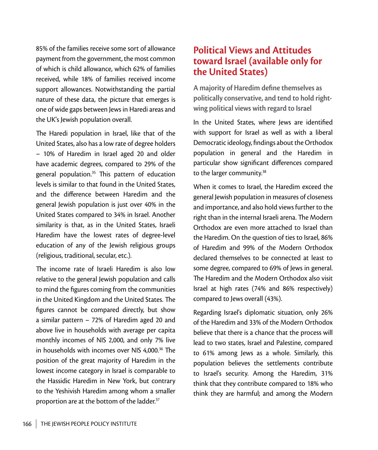85% of the families receive some sort of allowance payment from the government, the most common of which is child allowance, which 62% of families received, while 18% of families received income support allowances. Notwithstanding the partial nature of these data, the picture that emerges is one of wide gaps between Jews in Haredi areas and the UK's Jewish population overall.

The Haredi population in Israel, like that of the United States, also has a low rate of degree holders – 10% of Haredim in Israel aged 20 and older have academic degrees, compared to 29% of the general population. $35$  This pattern of education levels is similar to that found in the United States, and the difference between Haredim and the general Jewish population is just over 40% in the United States compared to 34% in Israel. Another similarity is that, as in the United States, Israeli Haredim have the lowest rates of degree-level education of any of the Jewish religious groups (religious, traditional, secular, etc.).

The income rate of Israeli Haredim is also low relative to the general Jewish population and calls to mind the figures coming from the communities in the United Kingdom and the United States. The figures cannot be compared directly, but show a similar pattern – 72% of Haredim aged 20 and above live in households with average per capita monthly incomes of NIS 2,000, and only 7% live in households with incomes over NIS  $4.000<sup>36</sup>$  The position of the great majority of Haredim in the lowest income category in Israel is comparable to the Hassidic Haredim in New York, but contrary to the Yeshivish Haredim among whom a smaller proportion are at the bottom of the ladder.<sup>37</sup>

# **Political Views and Attitudes toward Israel (available only for the United States)**

**A majority of Haredim define themselves as politically conservative, and tend to hold rightwing political views with regard to Israel**

In the United States, where Jews are identified with support for Israel as well as with a liberal Democratic ideology, findings about the Orthodox population in general and the Haredim in particular show significant differences compared to the larger community.<sup>38</sup>

When it comes to Israel, the Haredim exceed the general Jewish population in measures of closeness and importance, and also hold views further to the right than in the internal Israeli arena. The Modern Orthodox are even more attached to Israel than the Haredim. On the question of ties to Israel, 86% of Haredim and 99% of the Modern Orthodox declared themselves to be connected at least to some degree, compared to 69% of Jews in general. The Haredim and the Modern Orthodox also visit Israel at high rates (74% and 86% respectively) compared to Jews overall (43%).

Regarding Israel's diplomatic situation, only 26% of the Haredim and 33% of the Modern Orthodox believe that there is a chance that the process will lead to two states, Israel and Palestine, compared to 61% among Jews as a whole. Similarly, this population believes the settlements contribute to Israel's security. Among the Haredim, 31% think that they contribute compared to 18% who think they are harmful; and among the Modern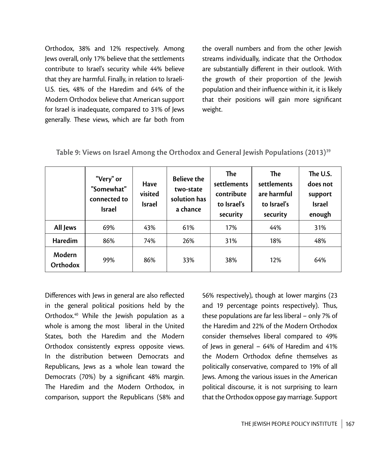Orthodox, 38% and 12% respectively. Among Jews overall, only 17% believe that the settlements contribute to Israel's security while 44% believe that they are harmful. Finally, in relation to Israeli-U.S. ties, 48% of the Haredim and 64% of the Modern Orthodox believe that American support for Israel is inadequate, compared to 31% of Jews generally. These views, which are far both from the overall numbers and from the other Jewish streams individually, indicate that the Orthodox are substantially different in their outlook. With the growth of their proportion of the Jewish population and their influence within it, it is likely that their positions will gain more significant weight.

|  |  | Table 9: Views on Israel Among the Orthodox and General Jewish Populations (2013) <sup>39</sup> |  |  |
|--|--|-------------------------------------------------------------------------------------------------|--|--|
|--|--|-------------------------------------------------------------------------------------------------|--|--|

|                    | "Very" or<br>"Somewhat"<br>connected to<br><b>Israel</b> | <b>Have</b><br>visited<br><b>Israel</b> | <b>Believe the</b><br>two-state<br>solution has<br>a chance | <b>The</b><br>settlements<br>contribute<br>to Israel's<br>security | <b>The</b><br>settlements<br>are harmful<br>to Israel's<br>security | The U.S.<br>does not<br>support<br><b>Israel</b><br>enough |
|--------------------|----------------------------------------------------------|-----------------------------------------|-------------------------------------------------------------|--------------------------------------------------------------------|---------------------------------------------------------------------|------------------------------------------------------------|
| All Jews           | 69%                                                      | 43%                                     | 61%                                                         | 17%                                                                | 44%                                                                 | 31%                                                        |
| Haredim            | 86%                                                      | 74%                                     | 26%                                                         | 31%                                                                | 18%                                                                 | 48%                                                        |
| Modern<br>Orthodox | 99%                                                      | 86%                                     | 33%                                                         | 38%                                                                | 12%                                                                 | 64%                                                        |

Differences with Jews in general are also reflected in the general political positions held by the Orthodox.40 While the Jewish population as a whole is among the most liberal in the United States, both the Haredim and the Modern Orthodox consistently express opposite views. In the distribution between Democrats and Republicans, Jews as a whole lean toward the Democrats (70%) by a significant 48% margin. The Haredim and the Modern Orthodox, in comparison, support the Republicans (58% and

56% respectively), though at lower margins (23 and 19 percentage points respectively). Thus, these populations are far less liberal – only 7% of the Haredim and 22% of the Modern Orthodox consider themselves liberal compared to 49% of Jews in general – 64% of Haredim and 41% the Modern Orthodox define themselves as politically conservative, compared to 19% of all Jews. Among the various issues in the American political discourse, it is not surprising to learn that the Orthodox oppose gay marriage. Support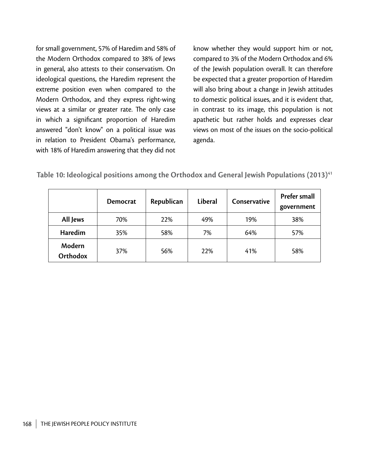for small government, 57% of Haredim and 58% of the Modern Orthodox compared to 38% of Jews in general, also attests to their conservatism. On ideological questions, the Haredim represent the extreme position even when compared to the Modern Orthodox, and they express right-wing views at a similar or greater rate. The only case in which a significant proportion of Haredim answered "don't know" on a political issue was in relation to President Obama's performance, with 18% of Haredim answering that they did not

know whether they would support him or not, compared to 3% of the Modern Orthodox and 6% of the Jewish population overall. It can therefore be expected that a greater proportion of Haredim will also bring about a change in Jewish attitudes to domestic political issues, and it is evident that, in contrast to its image, this population is not apathetic but rather holds and expresses clear views on most of the issues on the socio-political agenda.

|  |  | Table 10: Ideological positions among the Orthodox and General Jewish Populations (2013) <sup>41</sup> |  |  |  |
|--|--|--------------------------------------------------------------------------------------------------------|--|--|--|
|--|--|--------------------------------------------------------------------------------------------------------|--|--|--|

|                    | <b>Democrat</b> | Republican | <b>Liberal</b> | Conservative | <b>Prefer small</b><br>government |
|--------------------|-----------------|------------|----------------|--------------|-----------------------------------|
| All Jews           | 70%             | 22%        | 49%            | 19%          | 38%                               |
| Haredim            | 35%             | 58%        | 7%             | 64%          | 57%                               |
| Modern<br>Orthodox | 37%             | 56%        | 22%            | 41%          | 58%                               |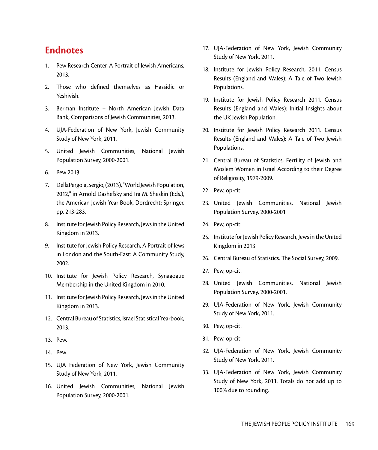## **Endnotes**

- 1. Pew Research Center, A Portrait of Jewish Americans, 2013.
- 2. Those who defined themselves as Hassidic or Yeshivish.
- 3. Berman Institute North American Jewish Data Bank, Comparisons of Jewish Communities, 2013.
- 4. UJA-Federation of New York, Jewish Community Study of New York, 2011.
- 5. United Jewish Communities, National Jewish Population Survey, 2000-2001.
- 6. Pew 2013.
- 7. DellaPergola, Sergio, (2013), "World Jewish Population, 2012," in Arnold Dashefsky and Ira M. Sheskin (Eds.), the American Jewish Year Book, Dordrecht: Springer, pp. 213-283.
- 8. Institute for Jewish Policy Research, Jews in the United Kingdom in 2013.
- 9. Institute for Jewish Policy Research, A Portrait of Jews in London and the South-East: A Community Study, 2002.
- 10. Institute for Jewish Policy Research, Synagogue Membership in the United Kingdom in 2010.
- 11. Institute for Jewish Policy Research, Jews in the United Kingdom in 2013.
- 12. Central Bureau of Statistics, Israel Statistical Yearbook, 2013.
- 13. Pew.
- 14. Pew.
- 15. UJA Federation of New York, Jewish Community Study of New York, 2011.
- 16. United Jewish Communities, National Jewish Population Survey, 2000-2001.
- 17. UJA-Federation of New York, Jewish Community Study of New York, 2011.
- 18. Institute for Jewish Policy Research, 2011. Census Results (England and Wales): A Tale of Two Jewish Populations.
- 19. Institute for Jewish Policy Research 2011. Census Results (England and Wales): Initial Insights about the UK Jewish Population.
- 20. Institute for Jewish Policy Research 2011. Census Results (England and Wales): A Tale of Two Jewish Populations.
- 21. Central Bureau of Statistics, Fertility of Jewish and Moslem Women in Israel According to their Degree of Religiosity, 1979-2009.
- 22. Pew, op-cit.
- 23. United Jewish Communities, National Jewish Population Survey, 2000-2001
- 24. Pew, op-cit.
- 25. Institute for Jewish Policy Research, Jews in the United Kingdom in 2013
- 26. Central Bureau of Statistics. The Social Survey, 2009.
- 27. Pew, op-cit.
- 28. United Jewish Communities, National Jewish Population Survey, 2000-2001.
- 29. UJA-Federation of New York, Jewish Community Study of New York, 2011.
- 30. Pew, op-cit.
- 31. Pew, op-cit.
- 32. UJA-Federation of New York, Jewish Community Study of New York, 2011.
- 33. UJA-Federation of New York, Jewish Community Study of New York, 2011. Totals do not add up to 100% due to rounding.